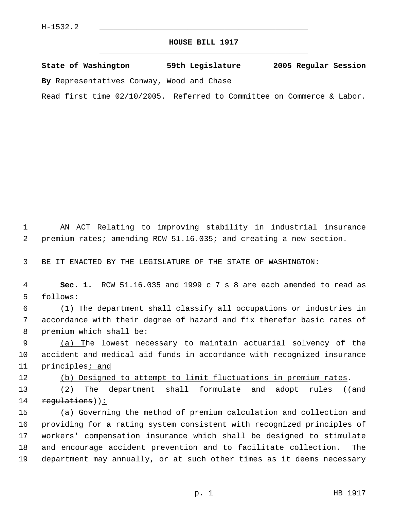## **HOUSE BILL 1917** \_\_\_\_\_\_\_\_\_\_\_\_\_\_\_\_\_\_\_\_\_\_\_\_\_\_\_\_\_\_\_\_\_\_\_\_\_\_\_\_\_\_\_\_\_

**State of Washington 59th Legislature 2005 Regular Session By** Representatives Conway, Wood and Chase

Read first time 02/10/2005. Referred to Committee on Commerce & Labor.

 1 AN ACT Relating to improving stability in industrial insurance 2 premium rates; amending RCW 51.16.035; and creating a new section.

3 BE IT ENACTED BY THE LEGISLATURE OF THE STATE OF WASHINGTON:

 4 **Sec. 1.** RCW 51.16.035 and 1999 c 7 s 8 are each amended to read as 5 follows:

 6 (1) The department shall classify all occupations or industries in 7 accordance with their degree of hazard and fix therefor basic rates of 8 premium which shall be:

9 (a) The lowest necessary to maintain actuarial solvency of the 10 accident and medical aid funds in accordance with recognized insurance 11 principles<sub>i</sub> and

12 (b) Designed to attempt to limit fluctuations in premium rates.

13 (2) The department shall formulate and adopt rules ((and 14 regulations)):

15 (a) Governing the method of premium calculation and collection and providing for a rating system consistent with recognized principles of workers' compensation insurance which shall be designed to stimulate and encourage accident prevention and to facilitate collection. The department may annually, or at such other times as it deems necessary